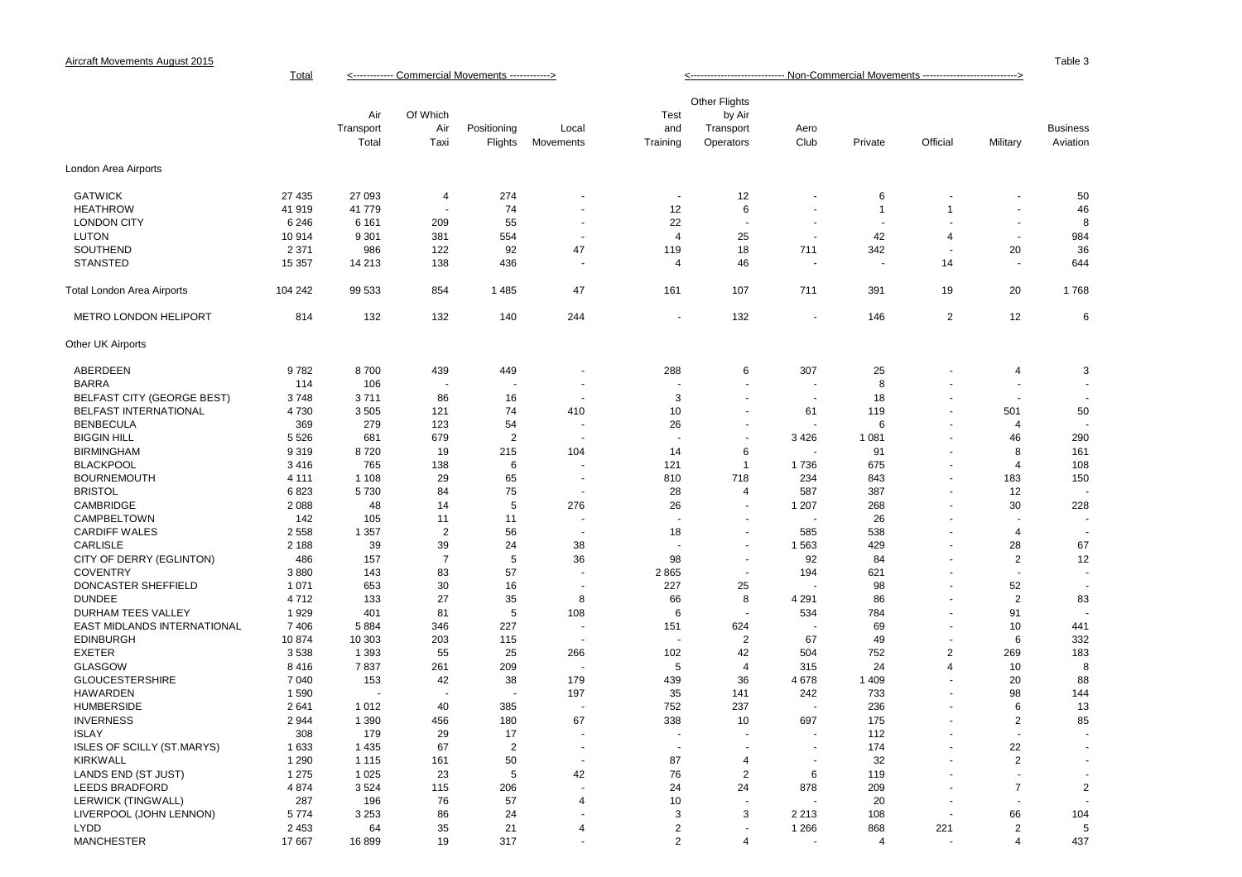|                                   |         | Air<br>Transport<br>Total | Of Which<br>Air<br>Taxi | Positioning<br>Flights | Local<br>Movements       | Test<br>and<br>Training | Other Flights<br>by Air<br>Transport<br>Operators | Aero<br>Club             | Private        | Official       | Military                 | <b>Business</b><br>Aviation |
|-----------------------------------|---------|---------------------------|-------------------------|------------------------|--------------------------|-------------------------|---------------------------------------------------|--------------------------|----------------|----------------|--------------------------|-----------------------------|
| _ondon Area Airports              |         |                           |                         |                        |                          |                         |                                                   |                          |                |                |                          |                             |
| <b>GATWICK</b>                    | 27 435  | 27 093                    | 4                       | 274                    |                          |                         | 12                                                |                          | 6              |                |                          | 50                          |
| <b>HEATHROW</b>                   | 41 919  | 41 779                    | $\sim$                  | 74                     |                          | 12                      | 6                                                 |                          | $\overline{1}$ | -1             |                          | 46                          |
| <b>LONDON CITY</b>                | 6 2 4 6 | 6 1 6 1                   | 209                     | 55                     |                          | 22                      |                                                   |                          |                |                |                          | 8                           |
| <b>LUTON</b>                      | 10914   | 9 3 0 1                   | 381                     | 554                    |                          | 4                       | 25                                                | $\blacksquare$           | 42             | 4              | $\overline{\phantom{a}}$ | 984                         |
| SOUTHEND                          | 2 3 7 1 | 986                       | 122                     | 92                     | 47                       | 119                     | 18                                                | 711                      | 342            |                | 20                       | 36                          |
| <b>STANSTED</b>                   | 15 357  | 14 213                    | 138                     | 436                    |                          | $\overline{4}$          | 46                                                |                          |                | 14             |                          | 644                         |
| Total London Area Airports        | 104 242 | 99 533                    | 854                     | 1 4 8 5                | 47                       | 161                     | 107                                               | 711                      | 391            | 19             | 20                       | 1768                        |
| METRO LONDON HELIPORT             | 814     | 132                       | 132                     | 140                    | 244                      |                         | 132                                               | $\overline{\phantom{a}}$ | 146            | $\overline{2}$ | 12                       | 6                           |
| Other UK Airports                 |         |                           |                         |                        |                          |                         |                                                   |                          |                |                |                          |                             |
| ABERDEEN                          | 9782    | 8700                      | 439                     | 449                    |                          | 288                     | 6                                                 | 307                      | 25             |                | 4                        | 3                           |
| <b>BARRA</b>                      | 114     | 106                       |                         |                        |                          |                         |                                                   | $\overline{\phantom{a}}$ | 8              |                |                          |                             |
| BELFAST CITY (GEORGE BEST)        | 3748    | 3711                      | 86                      | 16                     |                          | 3                       |                                                   | $\sim$                   | 18             |                |                          |                             |
| BELFAST INTERNATIONAL             | 4730    | 3505                      | 121                     | 74                     | 410                      | 10                      |                                                   | 61                       | 119            |                | 501                      | 50                          |
| <b>BENBECULA</b>                  | 369     | 279                       | 123                     | 54                     |                          | 26                      |                                                   |                          | 6              |                | $\overline{4}$           |                             |
| <b>BIGGIN HILL</b>                | 5 5 2 6 | 681                       | 679                     | $\overline{2}$         |                          |                         |                                                   | 3 4 2 6                  | 1 0 8 1        |                | 46                       | 290                         |
| <b>BIRMINGHAM</b>                 | 9319    | 8720                      | 19                      | 215                    | 104                      | 14                      | 6                                                 |                          | 91             |                | 8                        | 161                         |
| <b>BLACKPOOL</b>                  | 3416    | 765                       | 138                     | 6                      |                          | 121                     | -1                                                | 1736                     | 675            |                | 4                        | 108                         |
| <b>BOURNEMOUTH</b>                | 4 1 1 1 | 1 1 0 8                   | 29                      | 65                     |                          | 810                     | 718                                               | 234                      | 843            |                | 183                      | 150                         |
| <b>BRISTOL</b>                    | 6823    | 5730                      | 84                      | 75                     |                          | 28                      | 4                                                 | 587                      | 387            |                | 12                       |                             |
| CAMBRIDGE                         | 2 0 8 8 | 48                        | 14                      | $\sqrt{5}$             | 276                      | 26                      |                                                   | 1 207                    | 268            |                | 30                       | 228                         |
| CAMPBELTOWN                       | 142     | 105                       | 11                      | 11                     |                          |                         |                                                   |                          | 26             |                |                          |                             |
| <b>CARDIFF WALES</b>              | 2 5 5 8 | 1 3 5 7                   | $\overline{2}$          | 56                     |                          | 18                      |                                                   | 585                      | 538            |                | 4                        |                             |
| <b>CARLISLE</b>                   | 2 1 8 8 | 39                        | 39                      | 24                     | 38                       |                         |                                                   | 1 5 6 3                  | 429            |                | 28                       | 67                          |
| CITY OF DERRY (EGLINTON)          | 486     | 157                       | $\overline{7}$          | 5                      | 36                       | 98                      |                                                   | 92                       | 84             |                | $\overline{2}$           | 12                          |
| <b>COVENTRY</b>                   | 3880    | 143                       | 83                      | 57                     |                          | 2865                    |                                                   | 194                      | 621            |                | $\overline{\phantom{a}}$ |                             |
| DONCASTER SHEFFIELD               | 1 0 7 1 | 653                       | 30                      | 16                     |                          | 227                     | 25                                                |                          | 98             |                | 52                       |                             |
| <b>DUNDEE</b>                     | 4712    | 133                       | 27                      | 35                     | 8                        | 66                      | 8                                                 | 4 2 9 1                  | 86             |                | $\overline{2}$           | 83                          |
| <b>DURHAM TEES VALLEY</b>         | 1929    | 401                       | 81                      | $\sqrt{5}$             | 108                      | 6                       |                                                   | 534                      | 784            |                | 91                       |                             |
| EAST MIDLANDS INTERNATIONAL       | 7406    | 5884                      | 346                     | 227                    |                          | 151                     | 624                                               |                          | 69             |                | 10                       | 441                         |
| <b>EDINBURGH</b>                  | 10874   | 10 303                    | 203                     | 115                    | $\overline{\phantom{a}}$ |                         | 2                                                 | 67                       | 49             |                | 6                        | 332                         |
| <b>EXETER</b>                     | 3538    | 1 3 9 3                   | 55                      | 25                     | 266                      | 102                     | 42                                                | 504                      | 752            | $\overline{2}$ | 269                      | 183                         |
| <b>GLASGOW</b>                    | 8416    | 7837                      | 261                     | 209                    |                          | 5                       | $\overline{4}$                                    | 315                      | 24             | 4              | 10                       | 8                           |
| <b>GLOUCESTERSHIRE</b>            | 7 0 4 0 | 153                       | 42                      | 38                     | 179                      | 439                     | 36                                                | 4678                     | 1 4 0 9        |                | 20                       | 88                          |
| <b>HAWARDEN</b>                   | 1590    |                           |                         |                        | 197                      | 35                      | 141                                               | 242                      | 733            |                | 98                       | 144                         |
| <b>HUMBERSIDE</b>                 | 2641    | 1 0 1 2                   | 40                      | 385                    |                          | 752                     | 237                                               |                          | 236            |                | 6                        | 13                          |
| <b>INVERNESS</b>                  | 2944    | 1 3 9 0                   | 456                     | 180                    | 67                       | 338                     | 10                                                | 697                      | 175            |                | 2                        | 85                          |
| <b>ISLAY</b>                      | 308     | 179                       | 29                      | 17                     |                          |                         |                                                   |                          | 112            |                | ÷.                       |                             |
| <b>ISLES OF SCILLY (ST.MARYS)</b> | 1 6 3 3 | 1 4 3 5                   | 67                      | $\overline{2}$         |                          |                         |                                                   |                          | 174            |                | 22                       |                             |
| <b>KIRKWALL</b>                   | 1 2 9 0 | 1 1 1 5                   | 161                     | 50                     | $\overline{a}$           | 87                      | 4                                                 | $\overline{\phantom{a}}$ | 32             |                | $\overline{c}$           | $\overline{a}$              |
| LANDS END (ST JUST)               | 1 2 7 5 | 1 0 2 5                   | 23                      | $\sqrt{5}$             | 42                       | 76                      | $\overline{2}$                                    | 6                        | 119            |                | $\sim$                   |                             |
| <b>LEEDS BRADFORD</b>             | 4874    | 3524                      | 115                     | 206                    | $\overline{4}$           | 24                      | 24                                                | 878                      | 209            |                | $\overline{7}$           | $\overline{2}$              |
| LERWICK (TINGWALL)                | 287     | 196                       | 76                      | 57                     |                          | 10                      | 3                                                 |                          | 20             |                |                          |                             |
| LIVERPOOL (JOHN LENNON)           | 5774    | 3 2 5 3                   | 86                      | 24                     | $\boldsymbol{4}$         | 3<br>2                  |                                                   | 2 2 1 3                  | 108            |                | 66<br>2                  | 104                         |
| <b>LYDD</b>                       | 2 4 5 3 | 64                        | 35                      | 21                     |                          |                         |                                                   | 1 2 6 6                  | 868            | 221            |                          | 5                           |

<------------ Commercial Movements ------------> <---------------------------- Non-Commercial Movements ---------------------------->

LYDD 2 453 64 35 21 4 2 - 1 266 868 221 2 5 MANCHESTER 17 667 16 899 19 317 - 2 4 - 4 - 4 437

**Total**